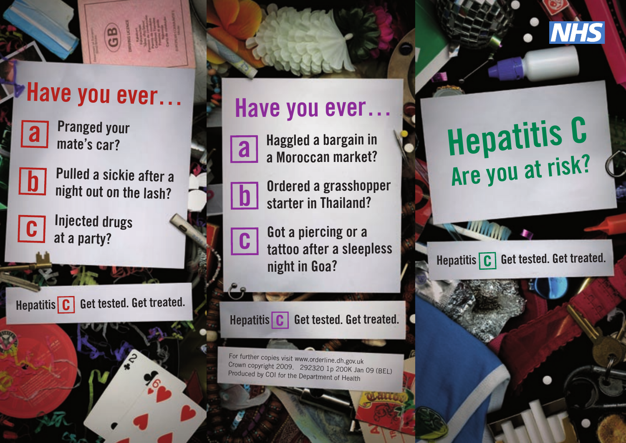



**Pranged your mate's car?**



**Pulled a sickie after a night out on the lash?**



**Injected drugs at a party?**

**Hepatitis C** Get tested. Get treated.

## **Have you ever…**



**c**

**b**

**Haggled a bargain in a Moroccan market?**

**Ordered a grasshopper starter in Thailand?**

**Got a piercing or a tattoo after a sleepless night in Goa?**

**Hepatitis C** Get tested. Get treated.

For further copies visit www.orderline.dh.gov.uk Crown copyright 2009. 292320 1p 200K Jan 09 (BEL) Produced by COI for the Department of Health

# **Hepatitis C Are you at risk?**

**Hepatitis C** Get tested. Get treated.